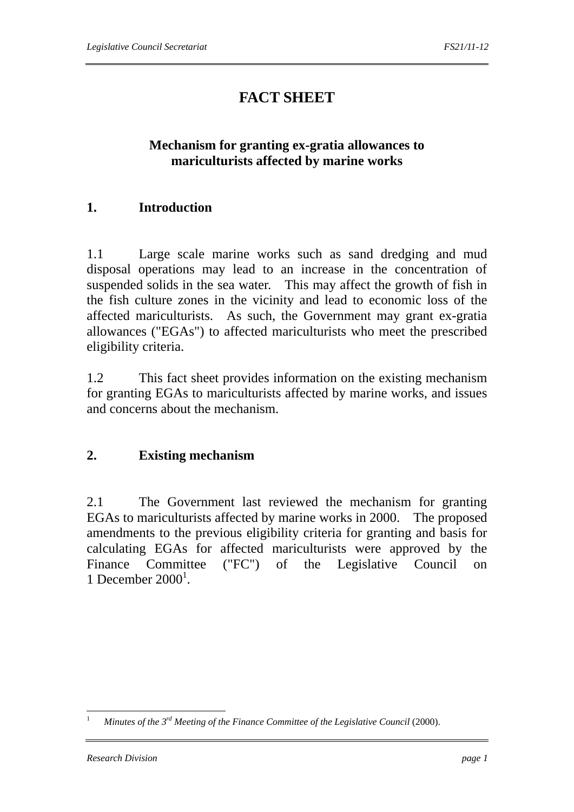# **FACT SHEET**

## **Mechanism for granting ex-gratia allowances to mariculturists affected by marine works**

## **1. Introduction**

1.1 Large scale marine works such as sand dredging and mud disposal operations may lead to an increase in the concentration of suspended solids in the sea water. This may affect the growth of fish in the fish culture zones in the vicinity and lead to economic loss of the affected mariculturists. As such, the Government may grant ex-gratia allowances ("EGAs") to affected mariculturists who meet the prescribed eligibility criteria.

1.2 This fact sheet provides information on the existing mechanism for granting EGAs to mariculturists affected by marine works, and issues and concerns about the mechanism.

## **2. Existing mechanism**

2.1 The Government last reviewed the mechanism for granting EGAs to mariculturists affected by marine works in 2000. The proposed amendments to the previous eligibility criteria for granting and basis for calculating EGAs for affected mariculturists were approved by the Finance Committee ("FC") of the Legislative Council on 1 December  $2000<sup>1</sup>$ .

<sup>1</sup> <sup>1</sup> *Minutes of the 3rd Meeting of the Finance Committee of the Legislative Council* (2000).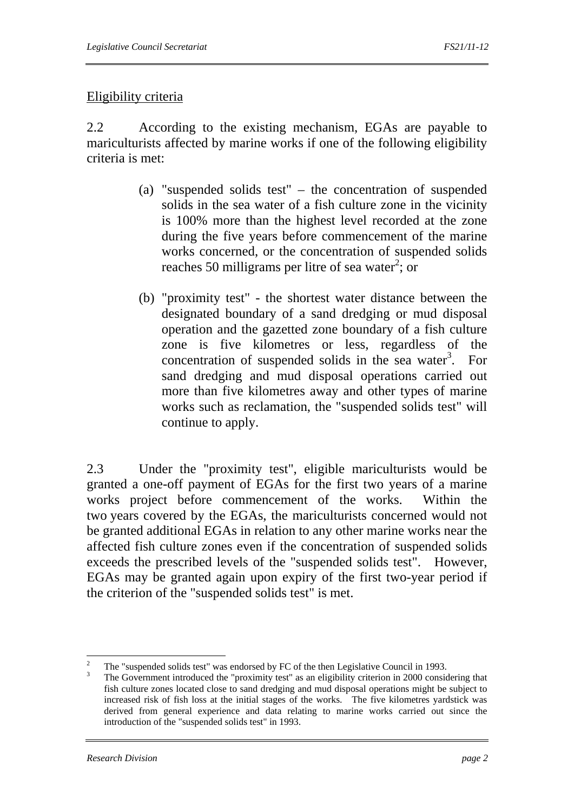### Eligibility criteria

2.2 According to the existing mechanism, EGAs are payable to mariculturists affected by marine works if one of the following eligibility criteria is met:

- (a) "suspended solids test" the concentration of suspended solids in the sea water of a fish culture zone in the vicinity is 100% more than the highest level recorded at the zone during the five years before commencement of the marine works concerned, or the concentration of suspended solids reaches 50 milligrams per litre of sea water<sup>2</sup>; or
- (b) "proximity test" the shortest water distance between the designated boundary of a sand dredging or mud disposal operation and the gazetted zone boundary of a fish culture zone is five kilometres or less, regardless of the concentration of suspended solids in the sea water<sup>3</sup>. For sand dredging and mud disposal operations carried out more than five kilometres away and other types of marine works such as reclamation, the "suspended solids test" will continue to apply.

2.3 Under the "proximity test", eligible mariculturists would be granted a one-off payment of EGAs for the first two years of a marine works project before commencement of the works. Within the two years covered by the EGAs, the mariculturists concerned would not be granted additional EGAs in relation to any other marine works near the affected fish culture zones even if the concentration of suspended solids exceeds the prescribed levels of the "suspended solids test". However, EGAs may be granted again upon expiry of the first two-year period if the criterion of the "suspended solids test" is met.

 $\frac{1}{2}$ The "suspended solids test" was endorsed by FC of the then Legislative Council in 1993.

<sup>3</sup> The Government introduced the "proximity test" as an eligibility criterion in 2000 considering that fish culture zones located close to sand dredging and mud disposal operations might be subject to increased risk of fish loss at the initial stages of the works. The five kilometres yardstick was derived from general experience and data relating to marine works carried out since the introduction of the "suspended solids test" in 1993.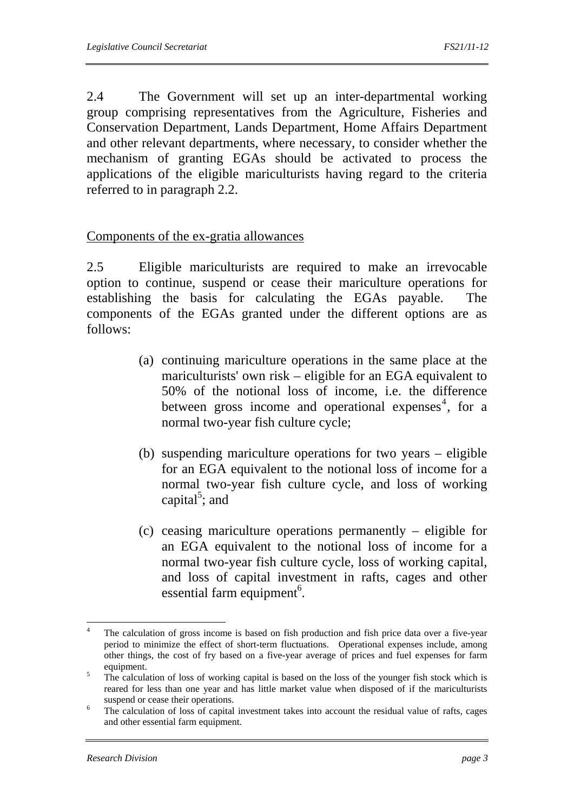2.4 The Government will set up an inter-departmental working group comprising representatives from the Agriculture, Fisheries and Conservation Department, Lands Department, Home Affairs Department and other relevant departments, where necessary, to consider whether the mechanism of granting EGAs should be activated to process the applications of the eligible mariculturists having regard to the criteria referred to in paragraph 2.2.

#### Components of the ex-gratia allowances

2.5 Eligible mariculturists are required to make an irrevocable option to continue, suspend or cease their mariculture operations for establishing the basis for calculating the EGAs payable. The components of the EGAs granted under the different options are as follows:

- (a) continuing mariculture operations in the same place at the mariculturists' own risk – eligible for an EGA equivalent to 50% of the notional loss of income, i.e. the difference between gross income and operational expenses<sup>4</sup>, for a normal two-year fish culture cycle;
- (b) suspending mariculture operations for two years eligible for an EGA equivalent to the notional loss of income for a normal two-year fish culture cycle, and loss of working capital<sup>5</sup>; and
- (c) ceasing mariculture operations permanently eligible for an EGA equivalent to the notional loss of income for a normal two-year fish culture cycle, loss of working capital, and loss of capital investment in rafts, cages and other essential farm equipment<sup>6</sup>.

 $\frac{1}{4}$  The calculation of gross income is based on fish production and fish price data over a five-year period to minimize the effect of short-term fluctuations. Operational expenses include, among other things, the cost of fry based on a five-year average of prices and fuel expenses for farm equipment.

The calculation of loss of working capital is based on the loss of the younger fish stock which is reared for less than one year and has little market value when disposed of if the mariculturists suspend or cease their operations.

The calculation of loss of capital investment takes into account the residual value of rafts, cages and other essential farm equipment.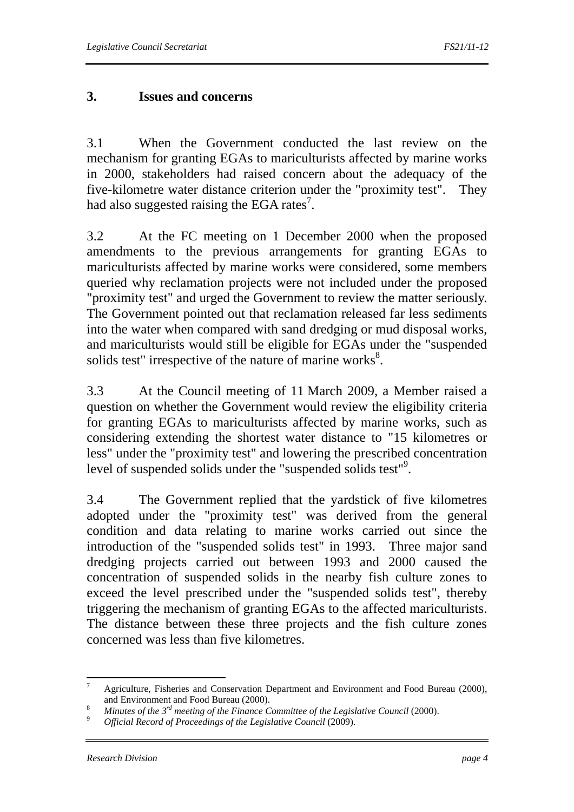## **3. Issues and concerns**

3.1 When the Government conducted the last review on the mechanism for granting EGAs to mariculturists affected by marine works in 2000, stakeholders had raised concern about the adequacy of the five-kilometre water distance criterion under the "proximity test". They had also suggested raising the EGA rates<sup>7</sup>.

3.2 At the FC meeting on 1 December 2000 when the proposed amendments to the previous arrangements for granting EGAs to mariculturists affected by marine works were considered, some members queried why reclamation projects were not included under the proposed "proximity test" and urged the Government to review the matter seriously. The Government pointed out that reclamation released far less sediments into the water when compared with sand dredging or mud disposal works, and mariculturists would still be eligible for EGAs under the "suspended solids test" irrespective of the nature of marine works $8$ .

3.3 At the Council meeting of 11 March 2009, a Member raised a question on whether the Government would review the eligibility criteria for granting EGAs to mariculturists affected by marine works, such as considering extending the shortest water distance to "15 kilometres or less" under the "proximity test" and lowering the prescribed concentration level of suspended solids under the "suspended solids test"<sup>9</sup>.

3.4 The Government replied that the yardstick of five kilometres adopted under the "proximity test" was derived from the general condition and data relating to marine works carried out since the introduction of the "suspended solids test" in 1993. Three major sand dredging projects carried out between 1993 and 2000 caused the concentration of suspended solids in the nearby fish culture zones to exceed the level prescribed under the "suspended solids test", thereby triggering the mechanism of granting EGAs to the affected mariculturists. The distance between these three projects and the fish culture zones concerned was less than five kilometres.

 $\frac{1}{7}$  Agriculture, Fisheries and Conservation Department and Environment and Food Bureau (2000), and Environment and Food Bureau (2000).<br><sup>8</sup> *Minutes of the 3<sup>rd</sup> meeting of the Finance Committee of the Legislative Council* (2000).<br>9 *Official Record of Proceedings of the Legislative Council* (2009).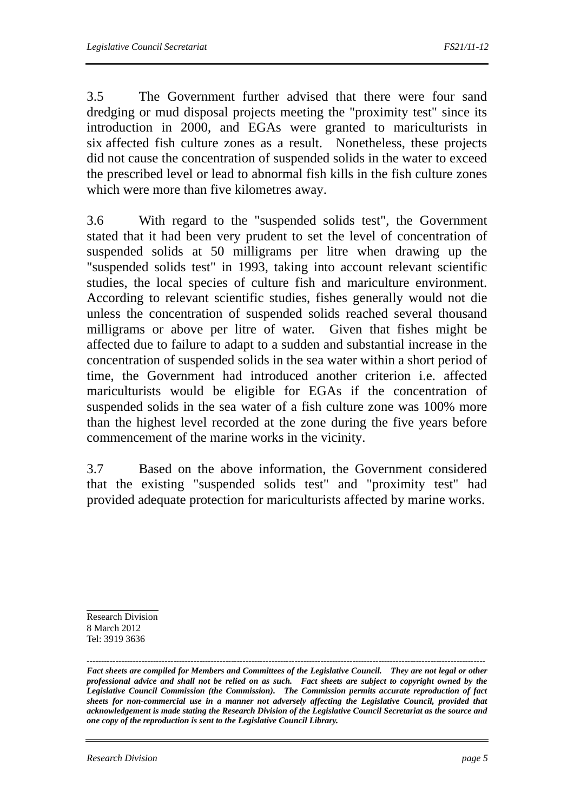3.5 The Government further advised that there were four sand dredging or mud disposal projects meeting the "proximity test" since its introduction in 2000, and EGAs were granted to mariculturists in six affected fish culture zones as a result. Nonetheless, these projects did not cause the concentration of suspended solids in the water to exceed the prescribed level or lead to abnormal fish kills in the fish culture zones which were more than five kilometres away.

3.6 With regard to the "suspended solids test", the Government stated that it had been very prudent to set the level of concentration of suspended solids at 50 milligrams per litre when drawing up the "suspended solids test" in 1993, taking into account relevant scientific studies, the local species of culture fish and mariculture environment. According to relevant scientific studies, fishes generally would not die unless the concentration of suspended solids reached several thousand milligrams or above per litre of water. Given that fishes might be affected due to failure to adapt to a sudden and substantial increase in the concentration of suspended solids in the sea water within a short period of time, the Government had introduced another criterion i.e. affected mariculturists would be eligible for EGAs if the concentration of suspended solids in the sea water of a fish culture zone was 100% more than the highest level recorded at the zone during the five years before commencement of the marine works in the vicinity.

3.7 Based on the above information, the Government considered that the existing "suspended solids test" and "proximity test" had provided adequate protection for mariculturists affected by marine works.

Research Division 8 March 2012 Tel: 3919 3636

*------------------------------------------------------------------------------------------------------------------------------------------ Fact sheets are compiled for Members and Committees of the Legislative Council. They are not legal or other professional advice and shall not be relied on as such. Fact sheets are subject to copyright owned by the Legislative Council Commission (the Commission). The Commission permits accurate reproduction of fact sheets for non-commercial use in a manner not adversely affecting the Legislative Council, provided that acknowledgement is made stating the Research Division of the Legislative Council Secretariat as the source and one copy of the reproduction is sent to the Legislative Council Library.*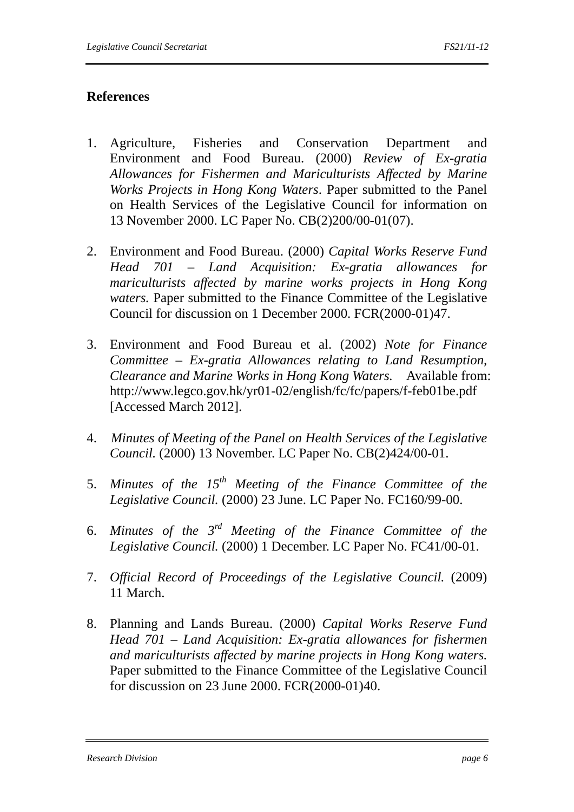## **References**

- 1. Agriculture, Fisheries and Conservation Department and Environment and Food Bureau. (2000) *Review of Ex-gratia Allowances for Fishermen and Mariculturists Affected by Marine Works Projects in Hong Kong Waters*. Paper submitted to the Panel on Health Services of the Legislative Council for information on 13 November 2000. LC Paper No. CB(2)200/00-01(07).
- 2. Environment and Food Bureau. (2000) *Capital Works Reserve Fund Head 701 – Land Acquisition: Ex-gratia allowances for mariculturists affected by marine works projects in Hong Kong waters.* Paper submitted to the Finance Committee of the Legislative Council for discussion on 1 December 2000. FCR(2000-01)47.
- 3. Environment and Food Bureau et al. (2002) *Note for Finance Committee – Ex-gratia Allowances relating to Land Resumption, Clearance and Marine Works in Hong Kong Waters.* Available from: http://www.legco.gov.hk/yr01-02/english/fc/fc/papers/f-feb01be.pdf [Accessed March 2012].
- 4. *Minutes of Meeting of the Panel on Health Services of the Legislative Council.* (2000) 13 November. LC Paper No. CB(2)424/00-01.
- 5. *Minutes of the 15th Meeting of the Finance Committee of the Legislative Council.* (2000) 23 June. LC Paper No. FC160/99-00.
- 6. *Minutes of the 3rd Meeting of the Finance Committee of the Legislative Council.* (2000) 1 December. LC Paper No. FC41/00-01.
- 7. *Official Record of Proceedings of the Legislative Council.* (2009) 11 March.
- 8. Planning and Lands Bureau. (2000) *Capital Works Reserve Fund Head 701 – Land Acquisition: Ex-gratia allowances for fishermen and mariculturists affected by marine projects in Hong Kong waters.* Paper submitted to the Finance Committee of the Legislative Council for discussion on 23 June 2000. FCR(2000-01)40.